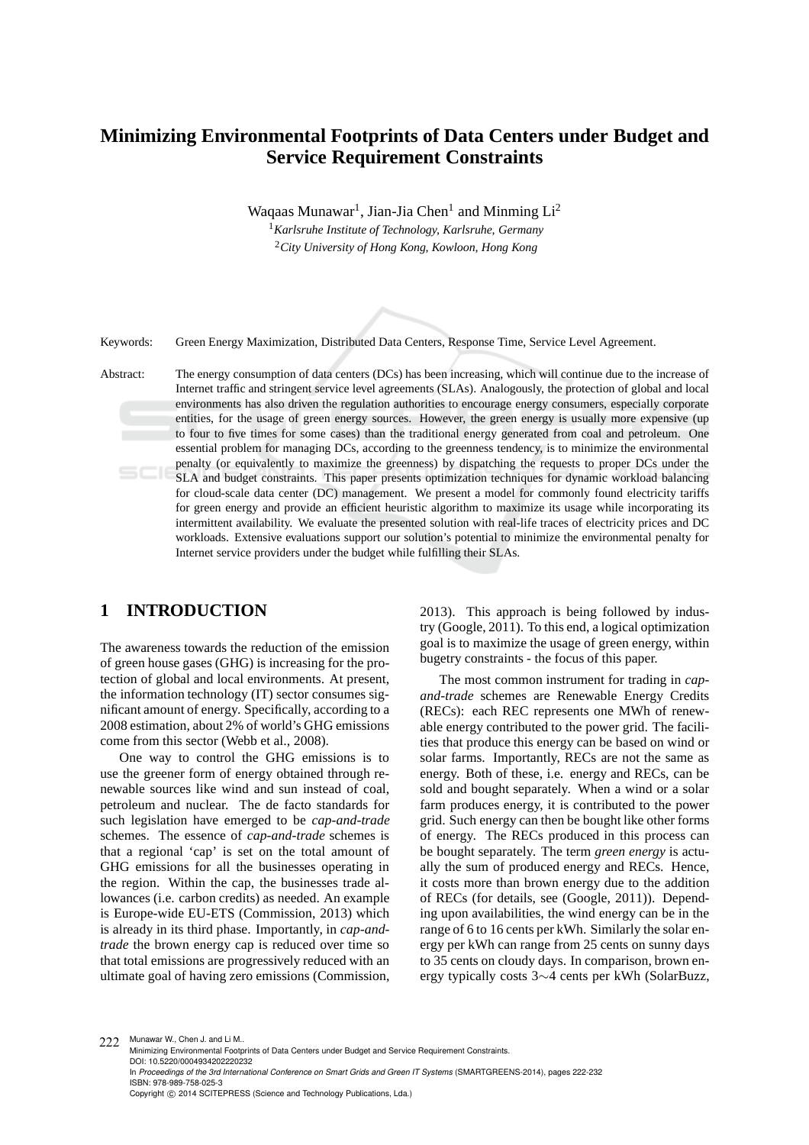# **Minimizing Environmental Footprints of Data Centers under Budget and Service Requirement Constraints**

Waqaas Munawar<sup>1</sup>, Jian-Jia Chen<sup>1</sup> and Minming Li<sup>2</sup>

<sup>1</sup>*Karlsruhe Institute of Technology, Karlsruhe, Germany* <sup>2</sup>*City University of Hong Kong, Kowloon, Hong Kong*

Keywords: Green Energy Maximization, Distributed Data Centers, Response Time, Service Level Agreement.

Abstract: The energy consumption of data centers (DCs) has been increasing, which will continue due to the increase of Internet traffic and stringent service level agreements (SLAs). Analogously, the protection of global and local environments has also driven the regulation authorities to encourage energy consumers, especially corporate entities, for the usage of green energy sources. However, the green energy is usually more expensive (up to four to five times for some cases) than the traditional energy generated from coal and petroleum. One essential problem for managing DCs, according to the greenness tendency, is to minimize the environmental penalty (or equivalently to maximize the greenness) by dispatching the requests to proper DCs under the SLA and budget constraints. This paper presents optimization techniques for dynamic workload balancing for cloud-scale data center (DC) management. We present a model for commonly found electricity tariffs for green energy and provide an efficient heuristic algorithm to maximize its usage while incorporating its intermittent availability. We evaluate the presented solution with real-life traces of electricity prices and DC workloads. Extensive evaluations support our solution's potential to minimize the environmental penalty for Internet service providers under the budget while fulfilling their SLAs.

# **1 INTRODUCTION**

The awareness towards the reduction of the emission of green house gases (GHG) is increasing for the protection of global and local environments. At present, the information technology (IT) sector consumes significant amount of energy. Specifically, according to a 2008 estimation, about 2% of world's GHG emissions come from this sector (Webb et al., 2008).

One way to control the GHG emissions is to use the greener form of energy obtained through renewable sources like wind and sun instead of coal, petroleum and nuclear. The de facto standards for such legislation have emerged to be *cap-and-trade* schemes. The essence of *cap-and-trade* schemes is that a regional 'cap' is set on the total amount of GHG emissions for all the businesses operating in the region. Within the cap, the businesses trade allowances (i.e. carbon credits) as needed. An example is Europe-wide EU-ETS (Commission, 2013) which is already in its third phase. Importantly, in *cap-andtrade* the brown energy cap is reduced over time so that total emissions are progressively reduced with an ultimate goal of having zero emissions (Commission, 2013). This approach is being followed by industry (Google, 2011). To this end, a logical optimization goal is to maximize the usage of green energy, within bugetry constraints - the focus of this paper.

The most common instrument for trading in *capand-trade* schemes are Renewable Energy Credits (RECs): each REC represents one MWh of renewable energy contributed to the power grid. The facilities that produce this energy can be based on wind or solar farms. Importantly, RECs are not the same as energy. Both of these, i.e. energy and RECs, can be sold and bought separately. When a wind or a solar farm produces energy, it is contributed to the power grid. Such energy can then be bought like other forms of energy. The RECs produced in this process can be bought separately. The term *green energy* is actually the sum of produced energy and RECs. Hence, it costs more than brown energy due to the addition of RECs (for details, see (Google, 2011)). Depending upon availabilities, the wind energy can be in the range of 6 to 16 cents per kWh. Similarly the solar energy per kWh can range from 25 cents on sunny days to 35 cents on cloudy days. In comparison, brown energy typically costs 3∼4 cents per kWh (SolarBuzz,

222 Munawar W., Chen J. and Li M.. Minimizing Environmental Footprints of Data Centers under Budget and Service Requirement Constraints. DOI: 10.5220/0004934202220232 In *Proceedings of the 3rd International Conference on Smart Grids and Green IT Systems* (SMARTGREENS-2014), pages 222-232 ISBN: 978-989-758-025-3 Copyright © 2014 SCITEPRESS (Science and Technology Publications, Lda.)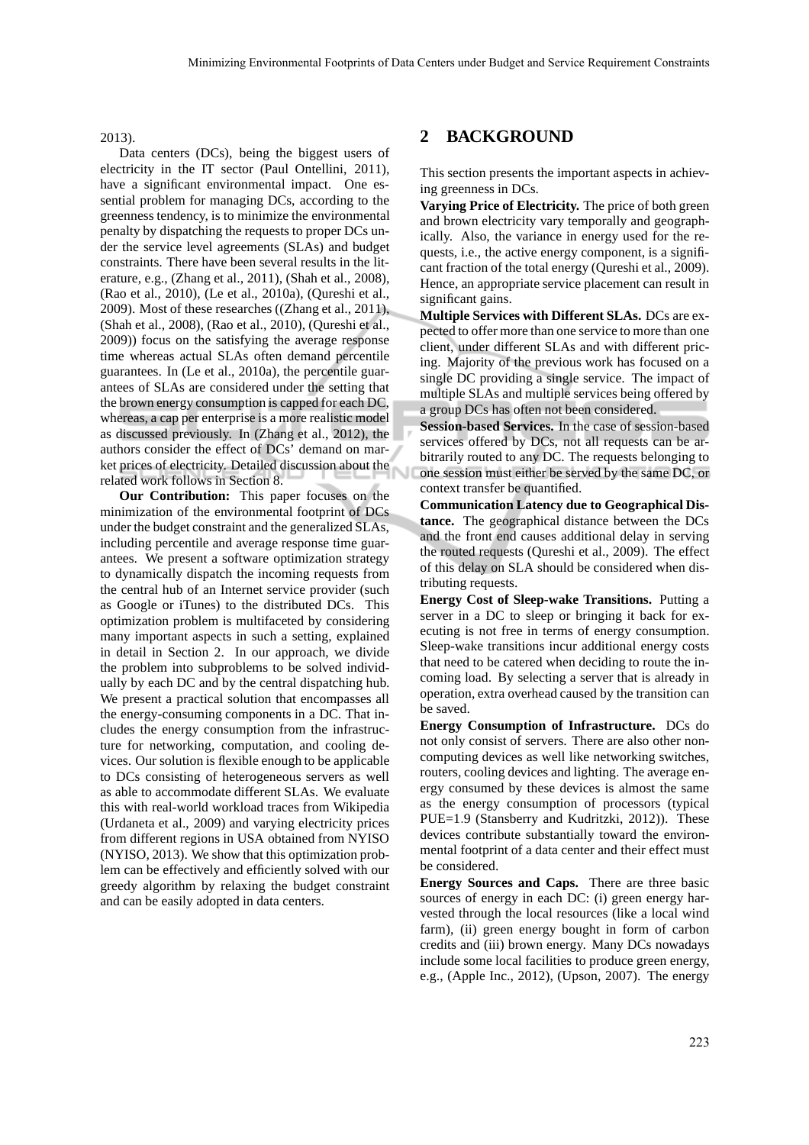#### 2013).

Data centers (DCs), being the biggest users of electricity in the IT sector (Paul Ontellini, 2011), have a significant environmental impact. One essential problem for managing DCs, according to the greenness tendency, is to minimize the environmental penalty by dispatching the requests to proper DCs under the service level agreements (SLAs) and budget constraints. There have been several results in the literature, e.g., (Zhang et al., 2011), (Shah et al., 2008), (Rao et al., 2010), (Le et al., 2010a), (Qureshi et al., 2009). Most of these researches ((Zhang et al., 2011), (Shah et al., 2008), (Rao et al., 2010), (Qureshi et al., 2009)) focus on the satisfying the average response time whereas actual SLAs often demand percentile guarantees. In (Le et al., 2010a), the percentile guarantees of SLAs are considered under the setting that the brown energy consumption is capped for each DC, whereas, a cap per enterprise is a more realistic model as discussed previously. In (Zhang et al., 2012), the authors consider the effect of DCs' demand on market prices of electricity. Detailed discussion about the related work follows in Section 8.

**Our Contribution:** This paper focuses on the minimization of the environmental footprint of DCs under the budget constraint and the generalized SLAs, including percentile and average response time guarantees. We present a software optimization strategy to dynamically dispatch the incoming requests from the central hub of an Internet service provider (such as Google or iTunes) to the distributed DCs. This optimization problem is multifaceted by considering many important aspects in such a setting, explained in detail in Section 2. In our approach, we divide the problem into subproblems to be solved individually by each DC and by the central dispatching hub. We present a practical solution that encompasses all the energy-consuming components in a DC. That includes the energy consumption from the infrastructure for networking, computation, and cooling devices. Our solution is flexible enough to be applicable to DCs consisting of heterogeneous servers as well as able to accommodate different SLAs. We evaluate this with real-world workload traces from Wikipedia (Urdaneta et al., 2009) and varying electricity prices from different regions in USA obtained from NYISO (NYISO, 2013). We show that this optimization problem can be effectively and efficiently solved with our greedy algorithm by relaxing the budget constraint and can be easily adopted in data centers.

## **2 BACKGROUND**

This section presents the important aspects in achieving greenness in DCs.

**Varying Price of Electricity.** The price of both green and brown electricity vary temporally and geographically. Also, the variance in energy used for the requests, i.e., the active energy component, is a significant fraction of the total energy (Qureshi et al., 2009). Hence, an appropriate service placement can result in significant gains.

**Multiple Services with Different SLAs.** DCs are expected to offer more than one service to more than one client, under different SLAs and with different pricing. Majority of the previous work has focused on a single DC providing a single service. The impact of multiple SLAs and multiple services being offered by a group DCs has often not been considered.

**Session-based Services.** In the case of session-based services offered by DCs, not all requests can be arbitrarily routed to any DC. The requests belonging to one session must either be served by the same DC, or context transfer be quantified.

**Communication Latency due to Geographical Distance.** The geographical distance between the DCs and the front end causes additional delay in serving the routed requests (Qureshi et al., 2009). The effect of this delay on SLA should be considered when distributing requests.

**Energy Cost of Sleep-wake Transitions.** Putting a server in a DC to sleep or bringing it back for executing is not free in terms of energy consumption. Sleep-wake transitions incur additional energy costs that need to be catered when deciding to route the incoming load. By selecting a server that is already in operation, extra overhead caused by the transition can be saved.

**Energy Consumption of Infrastructure.** DCs do not only consist of servers. There are also other noncomputing devices as well like networking switches, routers, cooling devices and lighting. The average energy consumed by these devices is almost the same as the energy consumption of processors (typical PUE=1.9 (Stansberry and Kudritzki, 2012)). These devices contribute substantially toward the environmental footprint of a data center and their effect must be considered.

**Energy Sources and Caps.** There are three basic sources of energy in each DC: (i) green energy harvested through the local resources (like a local wind farm), (ii) green energy bought in form of carbon credits and (iii) brown energy. Many DCs nowadays include some local facilities to produce green energy, e.g., (Apple Inc., 2012), (Upson, 2007). The energy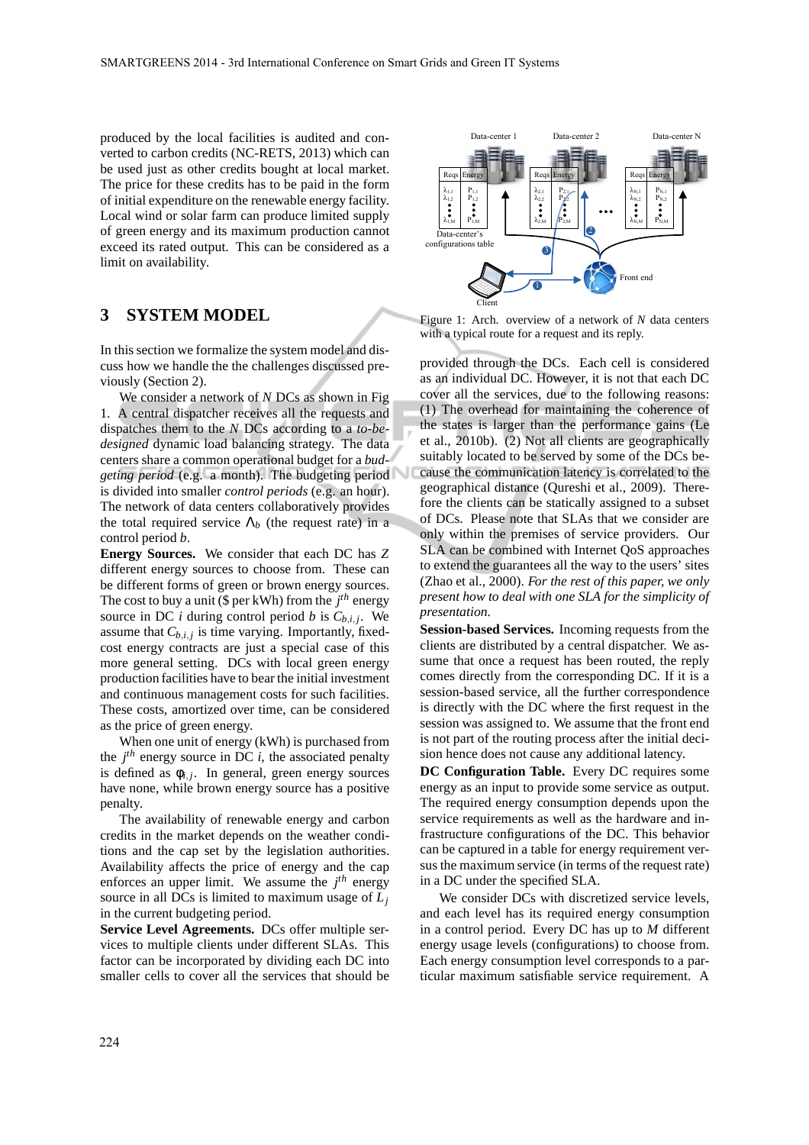produced by the local facilities is audited and converted to carbon credits (NC-RETS, 2013) which can be used just as other credits bought at local market. The price for these credits has to be paid in the form of initial expenditure on the renewable energy facility. Local wind or solar farm can produce limited supply of green energy and its maximum production cannot exceed its rated output. This can be considered as a limit on availability.

## **3 SYSTEM MODEL**

In this section we formalize the system model and discuss how we handle the the challenges discussed previously (Section 2).

We consider a network of *N* DCs as shown in Fig 1. A central dispatcher receives all the requests and dispatches them to the *N* DCs according to a *to-bedesigned* dynamic load balancing strategy. The data centers share a common operational budget for a *budgeting period* (e.g. a month). The budgeting period is divided into smaller *control periods* (e.g. an hour). The network of data centers collaboratively provides the total required service  $\Lambda_b$  (the request rate) in a control period *b*.

**Energy Sources.** We consider that each DC has *Z* different energy sources to choose from. These can be different forms of green or brown energy sources. The cost to buy a unit (\$ per kWh) from the *j th* energy source in DC *i* during control period *b* is  $C_{b,i,j}$ . We assume that  $C_{b,i,j}$  is time varying. Importantly, fixedcost energy contracts are just a special case of this more general setting. DCs with local green energy production facilities have to bear the initial investment and continuous management costs for such facilities. These costs, amortized over time, can be considered as the price of green energy.

When one unit of energy (kWh) is purchased from the  $j<sup>th</sup>$  energy source in DC *i*, the associated penalty is defined as  $\phi_{i,j}$ . In general, green energy sources have none, while brown energy source has a positive penalty.

The availability of renewable energy and carbon credits in the market depends on the weather conditions and the cap set by the legislation authorities. Availability affects the price of energy and the cap enforces an upper limit. We assume the  $j<sup>th</sup>$  energy source in all DCs is limited to maximum usage of *L<sup>j</sup>* in the current budgeting period.

**Service Level Agreements.** DCs offer multiple services to multiple clients under different SLAs. This factor can be incorporated by dividing each DC into smaller cells to cover all the services that should be



Figure 1: Arch. overview of a network of *N* data centers with a typical route for a request and its reply.

provided through the DCs. Each cell is considered as an individual DC. However, it is not that each DC cover all the services, due to the following reasons: (1) The overhead for maintaining the coherence of the states is larger than the performance gains (Le et al., 2010b). (2) Not all clients are geographically suitably located to be served by some of the DCs because the communication latency is correlated to the geographical distance (Qureshi et al., 2009). Therefore the clients can be statically assigned to a subset of DCs. Please note that SLAs that we consider are only within the premises of service providers. Our SLA can be combined with Internet QoS approaches to extend the guarantees all the way to the users' sites (Zhao et al., 2000). *For the rest of this paper, we only present how to deal with one SLA for the simplicity of presentation.*

**Session-based Services.** Incoming requests from the clients are distributed by a central dispatcher. We assume that once a request has been routed, the reply comes directly from the corresponding DC. If it is a session-based service, all the further correspondence is directly with the DC where the first request in the session was assigned to. We assume that the front end is not part of the routing process after the initial decision hence does not cause any additional latency.

**DC Configuration Table.** Every DC requires some energy as an input to provide some service as output. The required energy consumption depends upon the service requirements as well as the hardware and infrastructure configurations of the DC. This behavior can be captured in a table for energy requirement versus the maximum service (in terms of the request rate) in a DC under the specified SLA.

We consider DCs with discretized service levels, and each level has its required energy consumption in a control period. Every DC has up to *M* different energy usage levels (configurations) to choose from. Each energy consumption level corresponds to a particular maximum satisfiable service requirement. A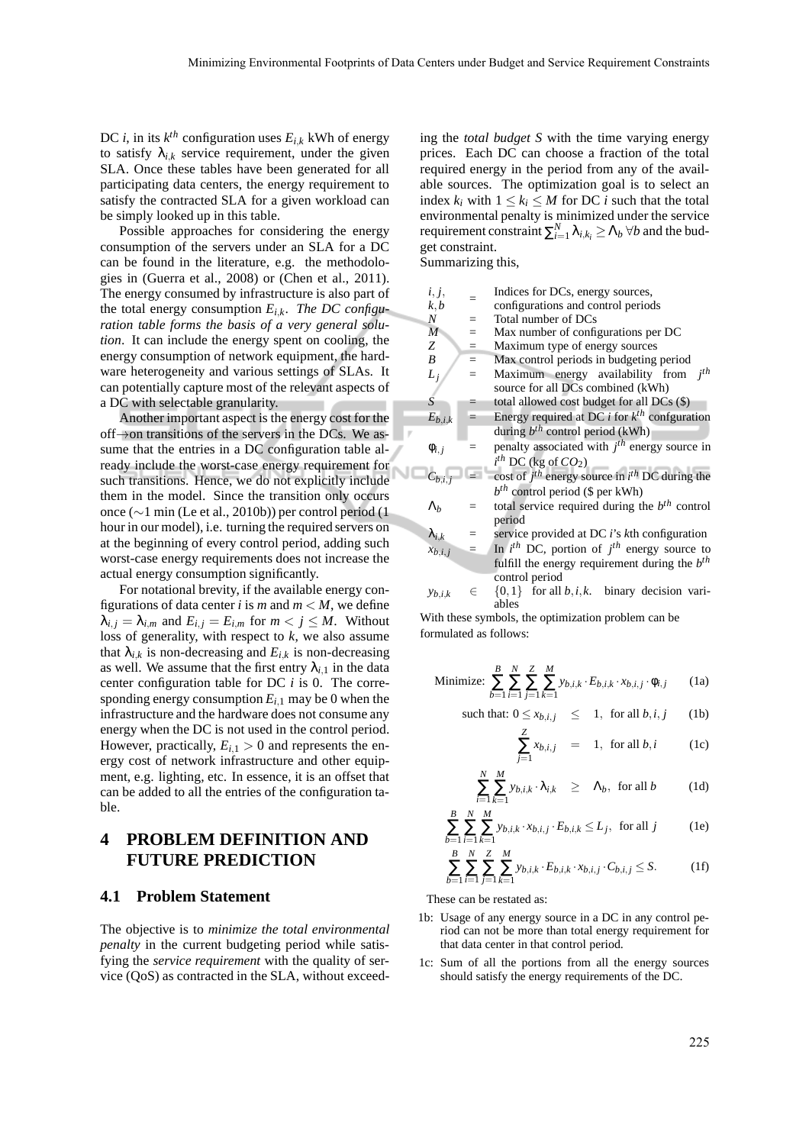DC *i*, in its  $k^{th}$  configuration uses  $E_{i,k}$  kWh of energy to satisfy  $\lambda_{i,k}$  service requirement, under the given SLA. Once these tables have been generated for all participating data centers, the energy requirement to satisfy the contracted SLA for a given workload can be simply looked up in this table.

Possible approaches for considering the energy consumption of the servers under an SLA for a DC can be found in the literature, e.g. the methodologies in (Guerra et al., 2008) or (Chen et al., 2011). The energy consumed by infrastructure is also part of the total energy consumption *Ei*,*k*. *The DC configuration table forms the basis of a very general solution*. It can include the energy spent on cooling, the energy consumption of network equipment, the hardware heterogeneity and various settings of SLAs. It can potentially capture most of the relevant aspects of a DC with selectable granularity.

Another important aspect is the energy cost for the off→on transitions of the servers in the DCs. We assume that the entries in a DC configuration table already include the worst-case energy requirement for such transitions. Hence, we do not explicitly include them in the model. Since the transition only occurs once (∼1 min (Le et al., 2010b)) per control period (1 hour in our model), i.e. turning the required servers on at the beginning of every control period, adding such worst-case energy requirements does not increase the actual energy consumption significantly.

For notational brevity, if the available energy configurations of data center *i* is *m* and  $m < M$ , we define  $\lambda_{i,j} = \lambda_{i,m}$  and  $E_{i,j} = E_{i,m}$  for  $m < j \leq M$ . Without loss of generality, with respect to *k*, we also assume that  $\lambda_{i,k}$  is non-decreasing and  $E_{i,k}$  is non-decreasing as well. We assume that the first entry  $\lambda_{i,1}$  in the data center configuration table for DC *i* is 0. The corresponding energy consumption  $E_{i,1}$  may be 0 when the infrastructure and the hardware does not consume any energy when the DC is not used in the control period. However, practically,  $E_{i,1} > 0$  and represents the energy cost of network infrastructure and other equipment, e.g. lighting, etc. In essence, it is an offset that can be added to all the entries of the configuration table.

# **4 PROBLEM DEFINITION AND FUTURE PREDICTION**

### **4.1 Problem Statement**

The objective is to *minimize the total environmental penalty* in the current budgeting period while satisfying the *service requirement* with the quality of service (QoS) as contracted in the SLA, without exceeding the *total budget S* with the time varying energy prices. Each DC can choose a fraction of the total required energy in the period from any of the available sources. The optimization goal is to select an index  $k_i$  with  $1 \leq k_i \leq M$  for DC *i* such that the total environmental penalty is minimized under the service requirement constraint  $\sum_{i=1}^{N} \lambda_{i,k_i} \geq \Lambda_b \,\forall b$  and the budget constraint.

Summarizing this,

| i, j,                          |     | Indices for DCs, energy sources,                                                  |
|--------------------------------|-----|-----------------------------------------------------------------------------------|
| k, b                           |     | configurations and control periods                                                |
| N                              |     | Total number of DCs                                                               |
| $\overline{M}$                 | $=$ | Max number of configurations per DC                                               |
| Ζ                              | $=$ | Maximum type of energy sources                                                    |
| B                              | $=$ | Max control periods in budgeting period                                           |
| $L_j$                          |     | $j^{th}$<br>Maximum energy availability from<br>source for all DCs combined (kWh) |
| $\overline{S}$                 |     | total allowed cost budget for all DCs (\$)                                        |
| $E_{b,i,k}$                    |     | Energy required at DC $i$ for $k^{th}$ confguration                               |
|                                |     | during $b^{th}$ control period (kWh)                                              |
| $\phi_{i,j}$                   |     | penalty associated with $jth$ energy source in                                    |
|                                |     | $i^{th}$ DC (kg of $CO2$ )                                                        |
| $C_{b,i,j}$                    |     | cost of $j^{th}$ energy source in $i^{th}$ DC during the                          |
|                                |     | $bth$ control period (\$ per kWh)                                                 |
| $\Lambda_b$                    |     | total service required during the $bth$ control                                   |
|                                |     | period                                                                            |
|                                |     | service provided at DC i's kth configuration                                      |
| $\lambda_{i,k}$<br>$x_{b,i,j}$ |     | In $i^{th}$ DC, portion of $j^{th}$ energy source to                              |
|                                |     | fulfill the energy requirement during the $b^{th}$                                |
|                                |     | control period                                                                    |
|                                |     |                                                                                   |

 $y_{h,i,k}$  ∈ {0,1} for all *b*,*i*,*k*. binary decision variables

With these symbols, the optimization problem can be formulated as follows:

Minimize: 
$$
\sum_{b=1}^{B} \sum_{i=1}^{N} \sum_{j=1}^{Z} \sum_{k=1}^{M} y_{b,i,k} \cdot E_{b,i,k} \cdot x_{b,i,j} \cdot \phi_{i,j}
$$
 (1a)

such that: 
$$
0 \le x_{b,i,j} \le 1
$$
, for all  $b, i, j$  (1b)

$$
\sum_{j=1}^{Z} x_{b,i,j} = 1, \text{ for all } b,i \qquad (1c)
$$

$$
\sum_{i=1}^{N} \sum_{k=1}^{M} y_{b,i,k} \cdot \lambda_{i,k} \geq \Lambda_b, \text{ for all } b \qquad (1d)
$$

$$
\sum_{b=1}^{B} \sum_{i=1}^{N} \sum_{k=1}^{M} y_{b,i,k} \cdot x_{b,i,j} \cdot E_{b,i,k} \le L_j, \text{ for all } j \tag{1e}
$$

$$
\sum_{b=1}^{B} \sum_{i=1}^{N} \sum_{j=1}^{Z} \sum_{k=1}^{M} y_{b,i,k} \cdot E_{b,i,k} \cdot x_{b,i,j} \cdot C_{b,i,j} \le S.
$$
 (1f)

These can be restated as:

*b*=1

- 1b: Usage of any energy source in a DC in any control period can not be more than total energy requirement for that data center in that control period.
- 1c: Sum of all the portions from all the energy sources should satisfy the energy requirements of the DC.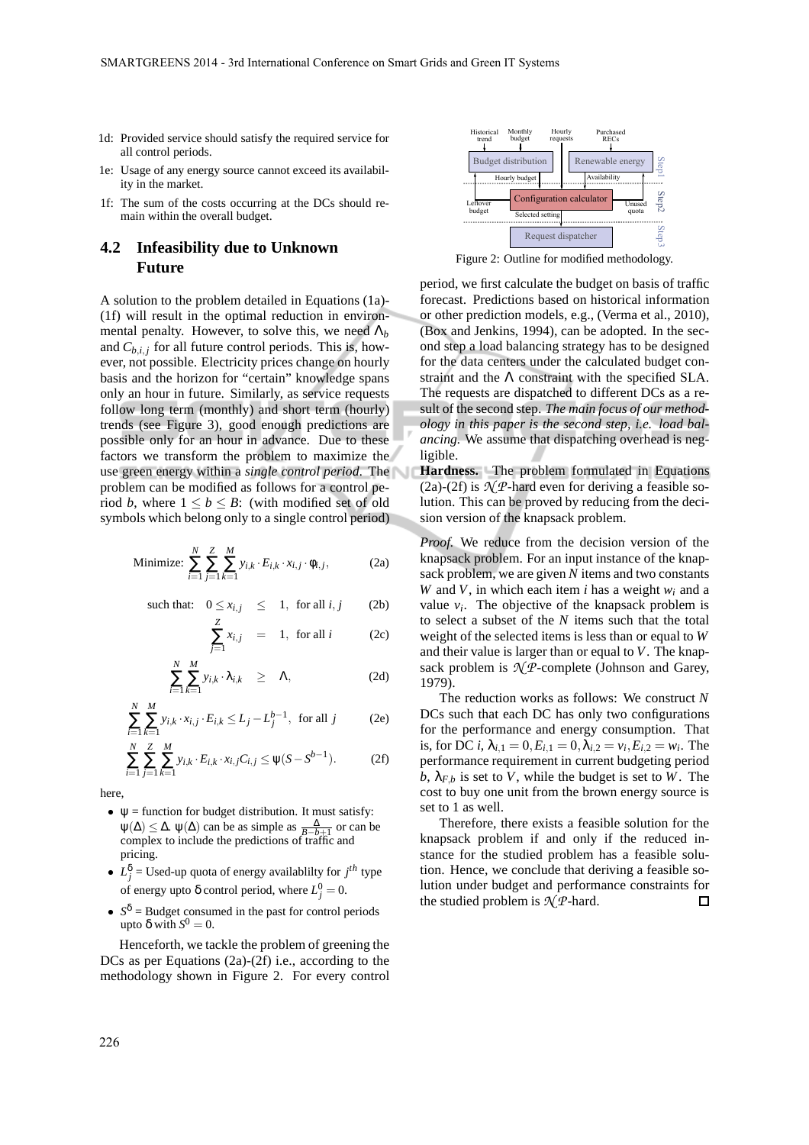- 1d: Provided service should satisfy the required service for all control periods.
- 1e: Usage of any energy source cannot exceed its availability in the market.
- 1f: The sum of the costs occurring at the DCs should remain within the overall budget.

## **4.2 Infeasibility due to Unknown Future**

A solution to the problem detailed in Equations (1a)- (1f) will result in the optimal reduction in environmental penalty. However, to solve this, we need  $\Lambda_b$ and  $C_{b,i,j}$  for all future control periods. This is, however, not possible. Electricity prices change on hourly basis and the horizon for "certain" knowledge spans only an hour in future. Similarly, as service requests follow long term (monthly) and short term (hourly) trends (see Figure 3), good enough predictions are possible only for an hour in advance. Due to these factors we transform the problem to maximize the use green energy within a *single control period*. The problem can be modified as follows for a control period *b*, where  $1 \leq b \leq B$ : (with modified set of old symbols which belong only to a single control period)

Minimize: 
$$
\sum_{i=1}^{N} \sum_{j=1}^{Z} \sum_{k=1}^{M} y_{i,k} \cdot E_{i,k} \cdot x_{i,j} \cdot \phi_{i,j},
$$
 (2a)

such that: 
$$
0 \le x_{i,j} \le 1
$$
, for all  $i, j$  (2b)

$$
\sum_{j=1}^{Z} x_{i,j} = 1, \text{ for all } i \qquad (2c)
$$

$$
\sum_{i=1}^{N} \sum_{k=1}^{M} y_{i,k} \cdot \lambda_{i,k} \geq \Lambda, \qquad (2d)
$$

$$
\sum_{i=1}^{N} \sum_{k=1}^{M} y_{i,k} \cdot x_{i,j} \cdot E_{i,k} \le L_j - L_j^{b-1}, \text{ for all } j \tag{2e}
$$

$$
\sum_{i=1}^{N} \sum_{j=1}^{Z} \sum_{k=1}^{M} y_{i,k} \cdot E_{i,k} \cdot x_{i,j} C_{i,j} \le \psi(S - S^{b-1}).
$$
 (2f)

here,

- $\psi$  = function for budget distribution. It must satisfy:  $\psi(\Delta) \leq \Delta$ .  $\psi(\Delta)$  can be as simple as  $\frac{\Delta}{B-b+1}$  or can be complex to include the predictions of traffic and pricing.
- $L_j^{\delta}$  = Used-up quota of energy availablilty for  $j^{th}$  type of energy upto  $\delta$  control period, where  $L_j^0 = 0$ .
- $S^{\delta}$  = Budget consumed in the past for control periods upto δ with  $S^0 = 0$ .

Henceforth, we tackle the problem of greening the DCs as per Equations (2a)-(2f) i.e., according to the methodology shown in Figure 2. For every control



Figure 2: Outline for modified methodology.

period, we first calculate the budget on basis of traffic forecast. Predictions based on historical information or other prediction models, e.g., (Verma et al., 2010), (Box and Jenkins, 1994), can be adopted. In the second step a load balancing strategy has to be designed for the data centers under the calculated budget constraint and the  $\Lambda$  constraint with the specified SLA. The requests are dispatched to different DCs as a result of the second step. *The main focus of our methodology in this paper is the second step, i.e. load balancing.* We assume that dispatching overhead is negligible.

**Hardness.** The problem formulated in Equations (2a)-(2f) is  $\mathcal{N}$ *P*-hard even for deriving a feasible solution. This can be proved by reducing from the decision version of the knapsack problem.

*Proof.* We reduce from the decision version of the knapsack problem. For an input instance of the knapsack problem, we are given *N* items and two constants *W* and *V*, in which each item *i* has a weight *w<sup>i</sup>* and a value  $v_i$ . The objective of the knapsack problem is to select a subset of the *N* items such that the total weight of the selected items is less than or equal to *W* and their value is larger than or equal to *V*. The knapsack problem is  $\mathcal{N}$ *P*-complete (Johnson and Garey, 1979).

The reduction works as follows: We construct *N* DCs such that each DC has only two configurations for the performance and energy consumption. That is, for DC *i*,  $\lambda_{i,1} = 0, E_{i,1} = 0, \lambda_{i,2} = v_i, E_{i,2} = w_i$ . The performance requirement in current budgeting period  $b, \lambda_{F,b}$  is set to *V*, while the budget is set to *W*. The cost to buy one unit from the brown energy source is set to 1 as well.

Therefore, there exists a feasible solution for the knapsack problem if and only if the reduced instance for the studied problem has a feasible solution. Hence, we conclude that deriving a feasible solution under budget and performance constraints for the studied problem is  $\mathcal{N}$ *P*-hard.  $\Box$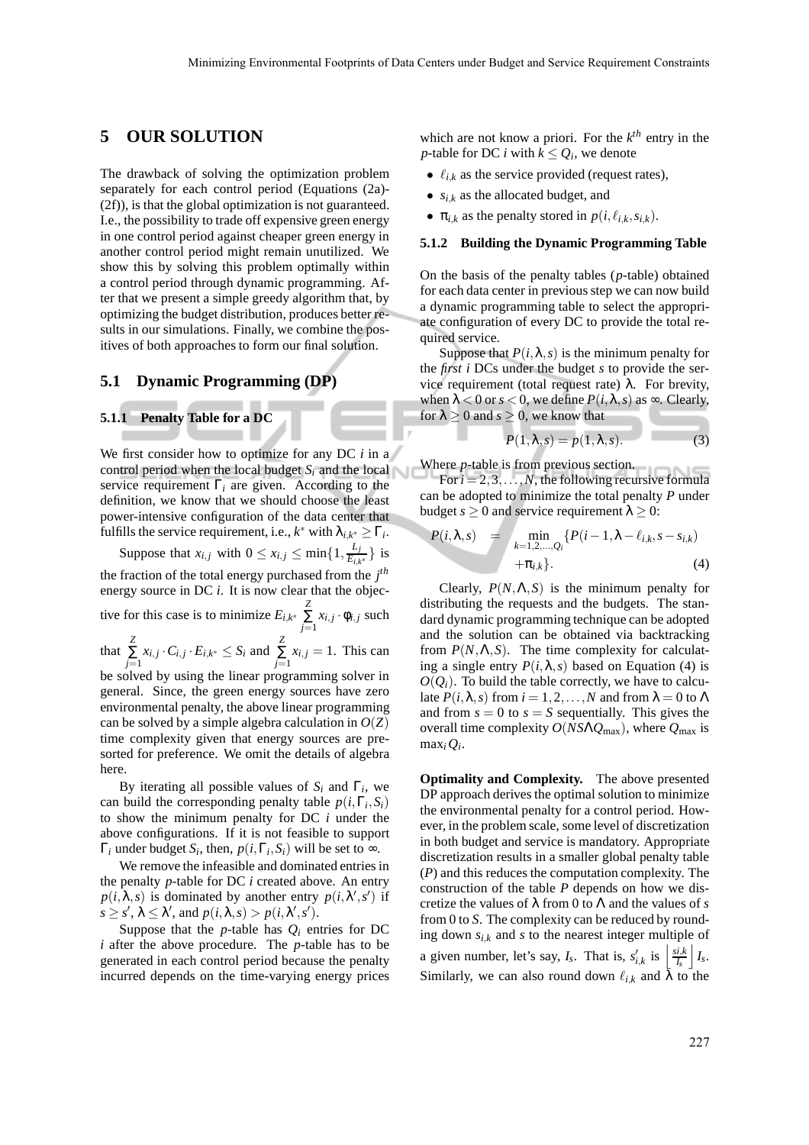## **5 OUR SOLUTION**

The drawback of solving the optimization problem separately for each control period (Equations (2a)- (2f)), is that the global optimization is not guaranteed. I.e., the possibility to trade off expensive green energy in one control period against cheaper green energy in another control period might remain unutilized. We show this by solving this problem optimally within a control period through dynamic programming. After that we present a simple greedy algorithm that, by optimizing the budget distribution, produces better results in our simulations. Finally, we combine the positives of both approaches to form our final solution.

### **5.1 Dynamic Programming (DP)**

#### **5.1.1 Penalty Table for a DC**

We first consider how to optimize for any DC *i* in a control period when the local budget *S<sup>i</sup>* and the local service requirement  $\Gamma_i$  are given. According to the definition, we know that we should choose the least power-intensive configuration of the data center that fulfills the service requirement, i.e.,  $k^*$  with  $\lambda_{i,k^*} \geq \Gamma_i$ .

Suppose that  $x_{i,j}$  with  $0 \le x_{i,j} \le \min\{1, \frac{L_j}{E_{i,j}}\}$  $\frac{E_j}{E_{i,k^*}}$ } is the fraction of the total energy purchased from the *j th* energy source in DC *i*. It is now clear that the objective for this case is to minimize  $E_{i,k^*}$  $\sum_{j=1}^{Z} x_{i,j} \cdot \phi_{i,j}$  such that  $\sum_{j=1}^{Z} x_{i,j} \cdot C_{i,j} \cdot E_{i,k^*} \leq S_i$  and  $\sum_{j=1}^{Z} x_{i,j} = 1$ . This can be solved by using the linear programming solver in general. Since, the green energy sources have zero environmental penalty, the above linear programming can be solved by a simple algebra calculation in  $O(Z)$ time complexity given that energy sources are presorted for preference. We omit the details of algebra here.

By iterating all possible values of  $S_i$  and  $\Gamma_i$ , we can build the corresponding penalty table  $p(i, \Gamma_i, S_i)$ to show the minimum penalty for DC *i* under the above configurations. If it is not feasible to support  $\Gamma_i$  under budget  $S_i$ , then,  $p(i, \Gamma_i, S_i)$  will be set to  $\infty$ .

We remove the infeasible and dominated entries in the penalty *p*-table for DC *i* created above. An entry  $p(i, \lambda, s)$  is dominated by another entry  $p(i, \lambda', s')$  if  $s \geq s'$ ,  $\lambda \leq \lambda'$ , and  $p(i, \lambda, s) > p(i, \lambda', s')$ .

Suppose that the *p*-table has  $Q_i$  entries for DC *i* after the above procedure. The *p*-table has to be generated in each control period because the penalty incurred depends on the time-varying energy prices which are not know a priori. For the *k th* entry in the *p*-table for DC *i* with  $k \leq Q_i$ , we denote

- $\ell_{ik}$  as the service provided (request rates),
- $s_{i,k}$  as the allocated budget, and
- $\pi_{i,k}$  as the penalty stored in  $p(i, \ell_{i,k}, s_{i,k})$ .

#### **5.1.2 Building the Dynamic Programming Table**

On the basis of the penalty tables (*p*-table) obtained for each data center in previous step we can now build a dynamic programming table to select the appropriate configuration of every DC to provide the total required service.

Suppose that  $P(i, \lambda, s)$  is the minimum penalty for the *first i* DCs under the budget *s* to provide the service requirement (total request rate)  $λ$ . For brevity, when  $\lambda < 0$  or  $s < 0$ , we define  $P(i, \lambda, s)$  as  $\infty$ . Clearly, for  $\lambda \geq 0$  and  $s \geq 0$ , we know that

$$
P(1,\lambda,s) = p(1,\lambda,s). \tag{3}
$$

Where *p*-table is from previous section.

For  $i = 2, 3, \ldots, N$ , the following recursive formula can be adopted to minimize the total penalty *P* under budget  $s \ge 0$  and service requirement  $\lambda \ge 0$ :

$$
P(i, \lambda, s) = \min_{k=1,2,...,Q_i} \{ P(i-1, \lambda - \ell_{i,k}, s - s_{i,k}) + \pi_{i,k} \}.
$$
 (4)

Clearly,  $P(N, \Lambda, S)$  is the minimum penalty for distributing the requests and the budgets. The standard dynamic programming technique can be adopted and the solution can be obtained via backtracking from  $P(N, \Lambda, S)$ . The time complexity for calculating a single entry  $P(i, \lambda, s)$  based on Equation (4) is  $O(Q_i)$ . To build the table correctly, we have to calculate  $P(i, \lambda, s)$  from  $i = 1, 2, ..., N$  and from  $\lambda = 0$  to  $\Lambda$ and from  $s = 0$  to  $s = S$  sequentially. This gives the overall time complexity *O*(*NS*Λ*Q*max), where *Q*max is  $max_i Q_i$ .

**Optimality and Complexity.** The above presented DP approach derives the optimal solution to minimize the environmental penalty for a control period. However, in the problem scale, some level of discretization in both budget and service is mandatory. Appropriate discretization results in a smaller global penalty table (*P*) and this reduces the computation complexity. The construction of the table *P* depends on how we discretize the values of λ from 0 to Λ and the values of *s* from 0 to *S*. The complexity can be reduced by rounding down  $s_{i,k}$  and  $s$  to the nearest integer multiple of a given number, let's say,  $I_s$ . That is,  $s'_{i,k}$  is  $\left| \frac{s_{i,k}}{I_s} \right| I_s$ . Similarly, we can also round down  $\ell_{i,k}$  and  $\bar{\lambda}$  to the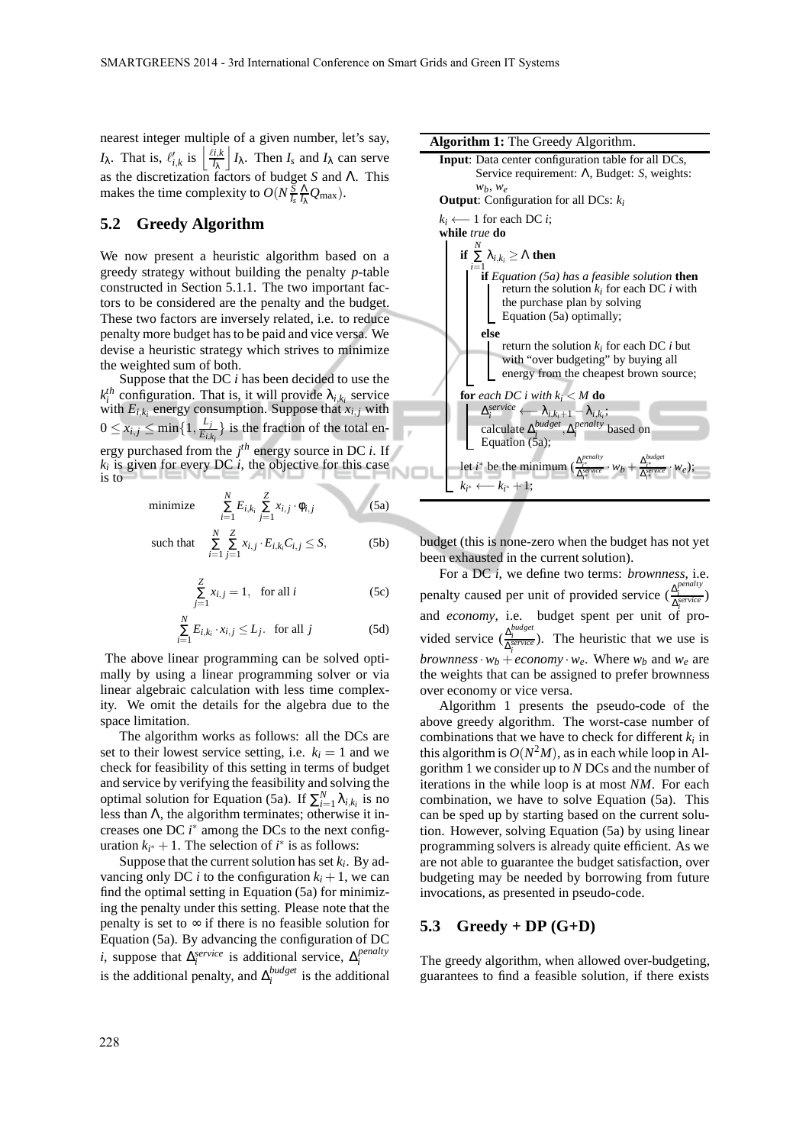nearest integer multiple of a given number, let's say, *I*<sub>λ</sub>. That is,  $\ell'_{i,k}$  is  $\left\lfloor \frac{\ell i,k}{I_{\lambda}} \right\rfloor$ *I*<sub>λ</sub>. Then *I<sub>s</sub>* and *I*<sub>λ</sub> can serve as the discretization factors of budget *S* and Λ. This makes the time complexity to  $O(N\frac{S}{I_s}\frac{\Lambda}{I_\lambda}Q_{\text{max}})$ .

### **5.2 Greedy Algorithm**

We now present a heuristic algorithm based on a greedy strategy without building the penalty *p*-table constructed in Section 5.1.1. The two important factors to be considered are the penalty and the budget. These two factors are inversely related, i.e. to reduce penalty more budget has to be paid and vice versa. We devise a heuristic strategy which strives to minimize the weighted sum of both.

Suppose that the DC *i* has been decided to use the  $k_i^{th}$  configuration. That is, it will provide  $\lambda_{i,k_i}$  service with  $E_{i,k_i}$  energy consumption. Suppose that  $x_{i,j}$  with  $0 \leq x_{i,j} \leq \min\{1,\frac{L_j}{E_{i,j}}\}$  $\left\{\frac{L_j}{E_{i,k_i}}\right\}$  is the fraction of the total energy purchased from the *j th* energy source in DC *i*. If  $k_i$  is given for every DC  $i$ , the objective for this case is to

minimize 
$$
\sum_{i=1}^{N} E_{i,k_i} \sum_{j=1}^{Z} x_{i,j} \cdot \phi_{i,j}
$$
 (5a)

such that 
$$
\sum_{i=1}^{N} \sum_{j=1}^{Z} x_{i,j} \cdot E_{i,k_i} C_{i,j} \leq S,
$$
 (5b)

$$
\sum_{j=1}^{Z} x_{i,j} = 1, \text{ for all } i
$$
 (5c)

$$
\sum_{i=1}^{N} E_{i,k_i} \cdot x_{i,j} \le L_j. \text{ for all } j \tag{5d}
$$

The above linear programming can be solved optimally by using a linear programming solver or via linear algebraic calculation with less time complexity. We omit the details for the algebra due to the space limitation.

The algorithm works as follows: all the DCs are set to their lowest service setting, i.e.  $k_i = 1$  and we check for feasibility of this setting in terms of budget and service by verifying the feasibility and solving the optimal solution for Equation (5a). If  $\sum_{i=1}^{N} \lambda_{i,k_i}$  is no less than  $\Lambda$ , the algorithm terminates; otherwise it increases one DC  $i^*$  among the DCs to the next configuration  $k_{i^*} + 1$ . The selection of  $i^*$  is as follows:

Suppose that the current solution has set *k<sup>i</sup>* . By advancing only DC *i* to the configuration  $k_i + 1$ , we can find the optimal setting in Equation (5a) for minimizing the penalty under this setting. Please note that the penalty is set to  $\infty$  if there is no feasible solution for Equation (5a). By advancing the configuration of DC *i*, suppose that  $\Delta_i^{service}$  is additional service,  $\Delta_i^{penalty}$ is the additional penalty, and  $\Delta_i^{budget}$  is the additional



budget (this is none-zero when the budget has not yet been exhausted in the current solution).

For a DC *i*, we define two terms: *brownness*, i.e. penalty caused per unit of provided service ( $\frac{\Delta_i^{penalty}}{\Delta_i^{generic}}$ ) and *economy*, i.e. budget spent per unit of provided service  $(\frac{\Delta_i^{budget}}{\Delta_i^{service}})$ . The heuristic that we use is *brownness*  $\cdot w_b + e \cdot \text{conom} \vee v_e$ . Where  $w_b$  and  $w_e$  are the weights that can be assigned to prefer brownness over economy or vice versa.

Algorithm 1 presents the pseudo-code of the above greedy algorithm. The worst-case number of combinations that we have to check for different  $k_i$  in this algorithm is  $O(N^2M)$ , as in each while loop in Algorithm 1 we consider up to *N* DCs and the number of iterations in the while loop is at most *NM*. For each combination, we have to solve Equation (5a). This can be sped up by starting based on the current solution. However, solving Equation (5a) by using linear programming solvers is already quite efficient. As we are not able to guarantee the budget satisfaction, over budgeting may be needed by borrowing from future invocations, as presented in pseudo-code.

#### **5.3 Greedy + DP (G+D)**

The greedy algorithm, when allowed over-budgeting, guarantees to find a feasible solution, if there exists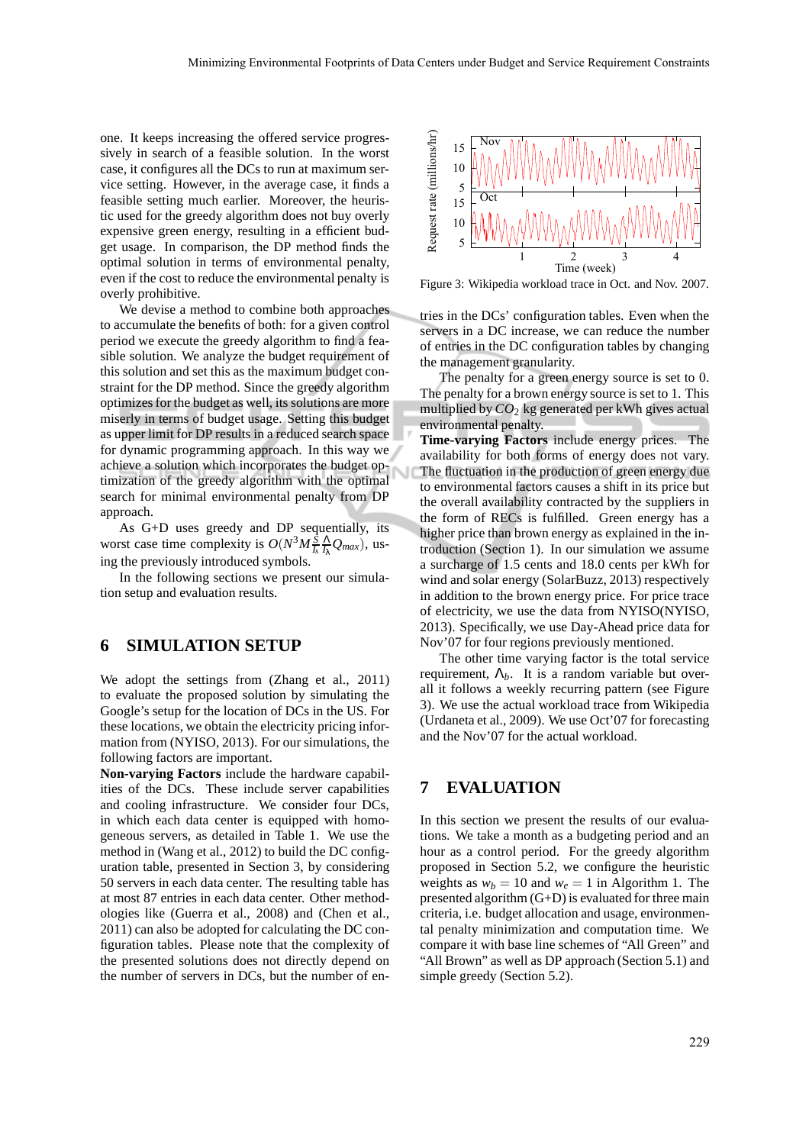one. It keeps increasing the offered service progressively in search of a feasible solution. In the worst case, it configures all the DCs to run at maximum service setting. However, in the average case, it finds a feasible setting much earlier. Moreover, the heuristic used for the greedy algorithm does not buy overly expensive green energy, resulting in a efficient budget usage. In comparison, the DP method finds the optimal solution in terms of environmental penalty, even if the cost to reduce the environmental penalty is overly prohibitive.

We devise a method to combine both approaches to accumulate the benefits of both: for a given control period we execute the greedy algorithm to find a feasible solution. We analyze the budget requirement of this solution and set this as the maximum budget constraint for the DP method. Since the greedy algorithm optimizes for the budget as well, its solutions are more miserly in terms of budget usage. Setting this budget as upper limit for DP results in a reduced search space for dynamic programming approach. In this way we achieve a solution which incorporates the budget optimization of the greedy algorithm with the optimal search for minimal environmental penalty from DP approach.

As G+D uses greedy and DP sequentially, its worst case time complexity is  $O(N^3M \frac{S}{I_s} \frac{\Lambda}{I_k} Q_{max})$ , using the previously introduced symbols.

In the following sections we present our simulation setup and evaluation results.

### **6 SIMULATION SETUP**

We adopt the settings from (Zhang et al., 2011) to evaluate the proposed solution by simulating the Google's setup for the location of DCs in the US. For these locations, we obtain the electricity pricing information from (NYISO, 2013). For our simulations, the following factors are important.

**Non-varying Factors** include the hardware capabilities of the DCs. These include server capabilities and cooling infrastructure. We consider four DCs, in which each data center is equipped with homogeneous servers, as detailed in Table 1. We use the method in (Wang et al., 2012) to build the DC configuration table, presented in Section 3, by considering 50 servers in each data center. The resulting table has at most 87 entries in each data center. Other methodologies like (Guerra et al., 2008) and (Chen et al., 2011) can also be adopted for calculating the DC configuration tables. Please note that the complexity of the presented solutions does not directly depend on the number of servers in DCs, but the number of en-



Figure 3: Wikipedia workload trace in Oct. and Nov. 2007.

tries in the DCs' configuration tables. Even when the servers in a DC increase, we can reduce the number of entries in the DC configuration tables by changing the management granularity.

The penalty for a green energy source is set to 0. The penalty for a brown energy source is set to 1. This multiplied by *CO*<sup>2</sup> kg generated per kWh gives actual environmental penalty.

**Time-varying Factors** include energy prices. The availability for both forms of energy does not vary. The fluctuation in the production of green energy due to environmental factors causes a shift in its price but the overall availability contracted by the suppliers in the form of RECs is fulfilled. Green energy has a higher price than brown energy as explained in the introduction (Section 1). In our simulation we assume a surcharge of 1.5 cents and 18.0 cents per kWh for wind and solar energy (SolarBuzz, 2013) respectively in addition to the brown energy price. For price trace of electricity, we use the data from NYISO(NYISO, 2013). Specifically, we use Day-Ahead price data for Nov'07 for four regions previously mentioned.

The other time varying factor is the total service requirement,  $\Lambda_b$ . It is a random variable but overall it follows a weekly recurring pattern (see Figure 3). We use the actual workload trace from Wikipedia (Urdaneta et al., 2009). We use Oct'07 for forecasting and the Nov'07 for the actual workload.

### **7 EVALUATION**

In this section we present the results of our evaluations. We take a month as a budgeting period and an hour as a control period. For the greedy algorithm proposed in Section 5.2, we configure the heuristic weights as  $w_b = 10$  and  $w_e = 1$  in Algorithm 1. The presented algorithm (G+D) is evaluated for three main criteria, i.e. budget allocation and usage, environmental penalty minimization and computation time. We compare it with base line schemes of "All Green" and "All Brown" as well as DP approach (Section 5.1) and simple greedy (Section 5.2).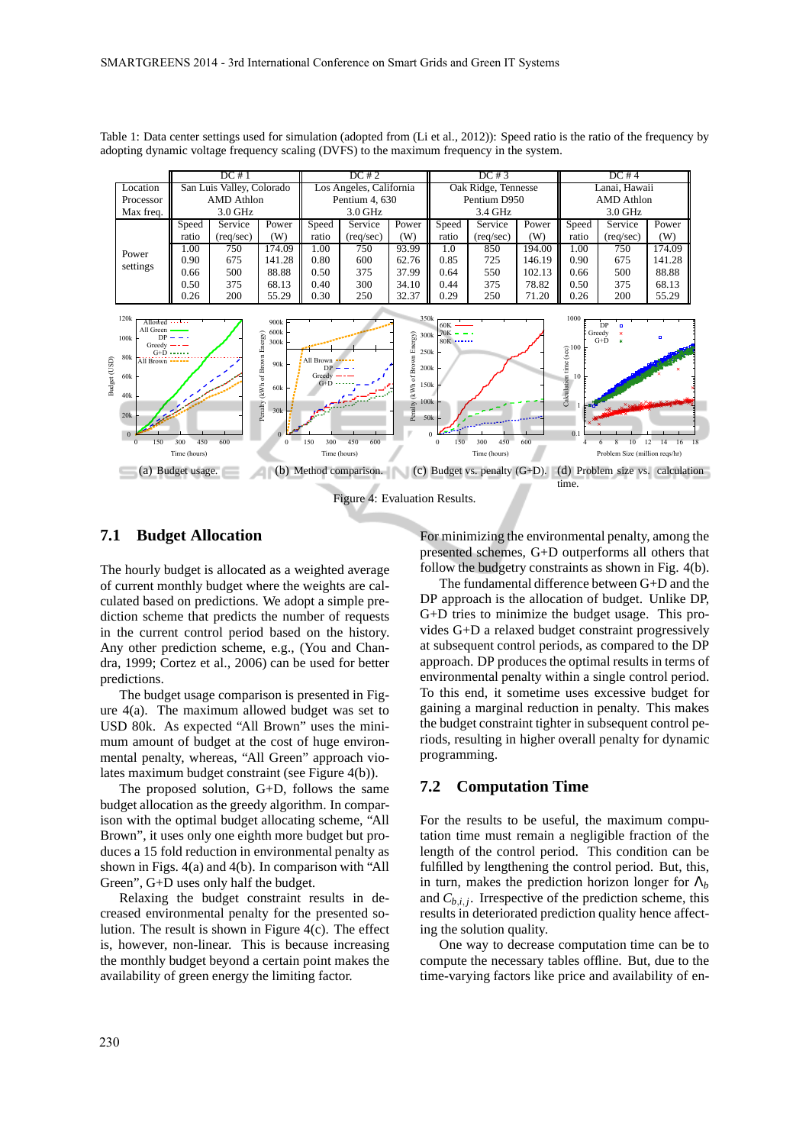|           | DC#1                      |                    |        | DC#2                    |                    |       | DC#3                |                    |        | DC#4          |                    |        |
|-----------|---------------------------|--------------------|--------|-------------------------|--------------------|-------|---------------------|--------------------|--------|---------------|--------------------|--------|
| Location  | San Luis Valley, Colorado |                    |        | Los Angeles, California |                    |       | Oak Ridge, Tennesse |                    |        | Lanai, Hawaii |                    |        |
| Processor | AMD Athlon                |                    |        | Pentium 4, 630          |                    |       | Pentium D950        |                    |        | AMD Athlon    |                    |        |
| Max freq. | $3.0$ GHz                 |                    |        | $3.0$ GHz               |                    |       | 3.4 GHz             |                    |        | $3.0$ GHz     |                    |        |
|           | Speed                     | Service            | Power  | Speed                   | Service            | Power | Speed               | Service            | Power  | Speed         | Service            | Power  |
|           | ratio                     | $(\text{req/sec})$ | (W)    | ratio                   | $(\text{req/sec})$ | (W)   | ratio               | $(\text{req/sec})$ | (W)    | ratio         | $(\text{req/sec})$ | (W)    |
| Power     | 1.00                      | 750                | 174.09 | 1.00                    | 750                | 93.99 | 1.0                 | 850                | 194.00 | 1.00          | 750                | 174.09 |
| settings  | 0.90                      | 675                | 141.28 | 0.80                    | 600                | 62.76 | 0.85                | 725                | 146.19 | 0.90          | 675                | 141.28 |
|           | 0.66                      | 500                | 88.88  | 0.50                    | 375                | 37.99 | 0.64                | 550                | 102.13 | 0.66          | 500                | 88.88  |
|           | 0.50                      | 375                | 68.13  | 0.40                    | 300                | 34.10 | 0.44                | 375                | 78.82  | 0.50          | 375                | 68.13  |
|           | 0.26                      | 200                | 55.29  | 0.30                    | 250                | 32.37 | 0.29                | 250                | 71.20  | 0.26          | 200                | 55.29  |
|           |                           |                    |        |                         |                    |       |                     |                    |        |               |                    |        |

Table 1: Data center settings used for simulation (adopted from (Li et al., 2012)): Speed ratio is the ratio of the frequency by adopting dynamic voltage frequency scaling (DVFS) to the maximum frequency in the system.



### **7.1 Budget Allocation**

The hourly budget is allocated as a weighted average of current monthly budget where the weights are calculated based on predictions. We adopt a simple prediction scheme that predicts the number of requests in the current control period based on the history. Any other prediction scheme, e.g., (You and Chandra, 1999; Cortez et al., 2006) can be used for better predictions.

The budget usage comparison is presented in Figure 4(a). The maximum allowed budget was set to USD 80k. As expected "All Brown" uses the minimum amount of budget at the cost of huge environmental penalty, whereas, "All Green" approach violates maximum budget constraint (see Figure 4(b)).

The proposed solution, G+D, follows the same budget allocation as the greedy algorithm. In comparison with the optimal budget allocating scheme, "All Brown", it uses only one eighth more budget but produces a 15 fold reduction in environmental penalty as shown in Figs. 4(a) and 4(b). In comparison with "All Green", G+D uses only half the budget.

Relaxing the budget constraint results in decreased environmental penalty for the presented solution. The result is shown in Figure 4(c). The effect is, however, non-linear. This is because increasing the monthly budget beyond a certain point makes the availability of green energy the limiting factor.

For minimizing the environmental penalty, among the presented schemes, G+D outperforms all others that follow the budgetry constraints as shown in Fig. 4(b).

The fundamental difference between G+D and the DP approach is the allocation of budget. Unlike DP, G+D tries to minimize the budget usage. This provides G+D a relaxed budget constraint progressively at subsequent control periods, as compared to the DP approach. DP produces the optimal results in terms of environmental penalty within a single control period. To this end, it sometime uses excessive budget for gaining a marginal reduction in penalty. This makes the budget constraint tighter in subsequent control periods, resulting in higher overall penalty for dynamic programming.

### **7.2 Computation Time**

For the results to be useful, the maximum computation time must remain a negligible fraction of the length of the control period. This condition can be fulfilled by lengthening the control period. But, this, in turn, makes the prediction horizon longer for  $\Lambda_b$ and  $C_{b,i,j}$ . Irrespective of the prediction scheme, this results in deteriorated prediction quality hence affecting the solution quality.

One way to decrease computation time can be to compute the necessary tables offline. But, due to the time-varying factors like price and availability of en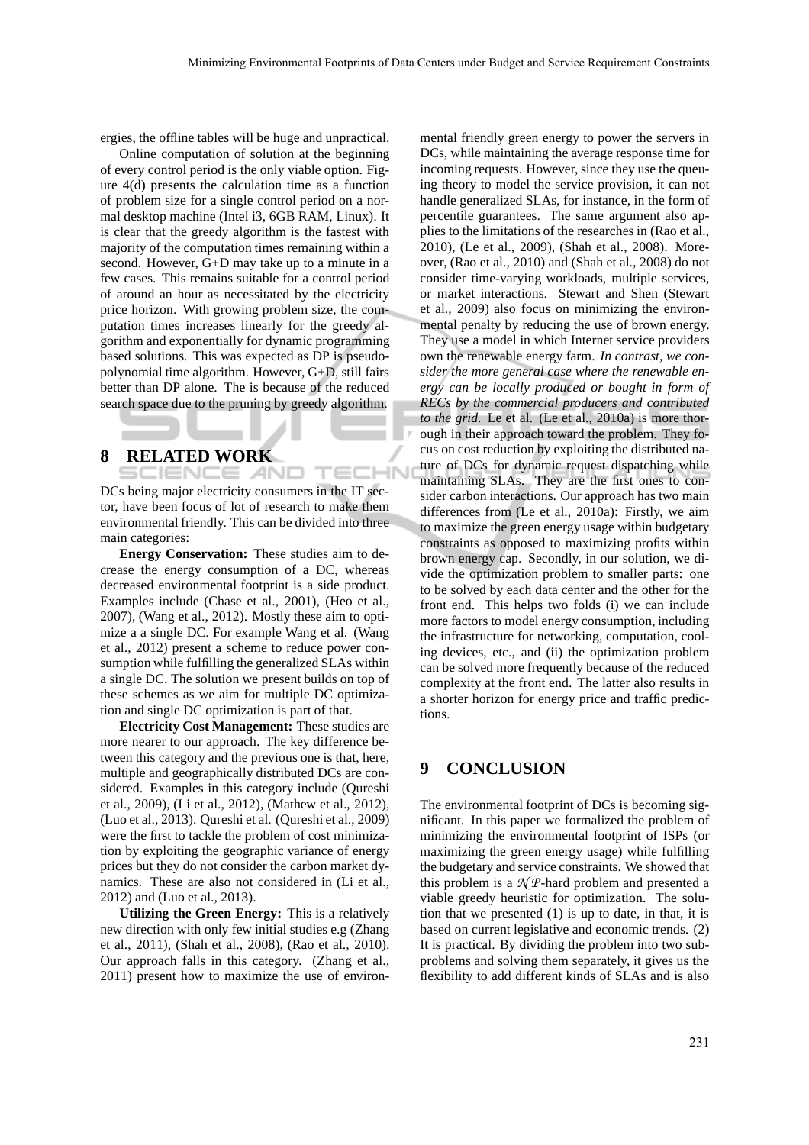-IN

ergies, the offline tables will be huge and unpractical.

Online computation of solution at the beginning of every control period is the only viable option. Figure 4(d) presents the calculation time as a function of problem size for a single control period on a normal desktop machine (Intel i3, 6GB RAM, Linux). It is clear that the greedy algorithm is the fastest with majority of the computation times remaining within a second. However, G+D may take up to a minute in a few cases. This remains suitable for a control period of around an hour as necessitated by the electricity price horizon. With growing problem size, the computation times increases linearly for the greedy algorithm and exponentially for dynamic programming based solutions. This was expected as DP is pseudopolynomial time algorithm. However, G+D, still fairs better than DP alone. The is because of the reduced search space due to the pruning by greedy algorithm.

## **8 RELATED WORK**

SCIENCE *A*ND

DCs being major electricity consumers in the IT sector, have been focus of lot of research to make them environmental friendly. This can be divided into three main categories:

**Energy Conservation:** These studies aim to decrease the energy consumption of a DC, whereas decreased environmental footprint is a side product. Examples include (Chase et al., 2001), (Heo et al., 2007), (Wang et al., 2012). Mostly these aim to optimize a a single DC. For example Wang et al. (Wang et al., 2012) present a scheme to reduce power consumption while fulfilling the generalized SLAs within a single DC. The solution we present builds on top of these schemes as we aim for multiple DC optimization and single DC optimization is part of that.

**Electricity Cost Management:** These studies are more nearer to our approach. The key difference between this category and the previous one is that, here, multiple and geographically distributed DCs are considered. Examples in this category include (Qureshi et al., 2009), (Li et al., 2012), (Mathew et al., 2012), (Luo et al., 2013). Qureshi et al. (Qureshi et al., 2009) were the first to tackle the problem of cost minimization by exploiting the geographic variance of energy prices but they do not consider the carbon market dynamics. These are also not considered in (Li et al., 2012) and (Luo et al., 2013).

**Utilizing the Green Energy:** This is a relatively new direction with only few initial studies e.g (Zhang et al., 2011), (Shah et al., 2008), (Rao et al., 2010). Our approach falls in this category. (Zhang et al., 2011) present how to maximize the use of environmental friendly green energy to power the servers in DCs, while maintaining the average response time for incoming requests. However, since they use the queuing theory to model the service provision, it can not handle generalized SLAs, for instance, in the form of percentile guarantees. The same argument also applies to the limitations of the researches in (Rao et al., 2010), (Le et al., 2009), (Shah et al., 2008). Moreover, (Rao et al., 2010) and (Shah et al., 2008) do not consider time-varying workloads, multiple services, or market interactions. Stewart and Shen (Stewart et al., 2009) also focus on minimizing the environmental penalty by reducing the use of brown energy. They use a model in which Internet service providers own the renewable energy farm. *In contrast, we consider the more general case where the renewable energy can be locally produced or bought in form of RECs by the commercial producers and contributed to the grid.* Le et al. (Le et al., 2010a) is more thorough in their approach toward the problem. They focus on cost reduction by exploiting the distributed nature of DCs for dynamic request dispatching while maintaining SLAs. They are the first ones to consider carbon interactions. Our approach has two main differences from (Le et al., 2010a): Firstly, we aim to maximize the green energy usage within budgetary constraints as opposed to maximizing profits within brown energy cap. Secondly, in our solution, we divide the optimization problem to smaller parts: one to be solved by each data center and the other for the front end. This helps two folds (i) we can include more factors to model energy consumption, including the infrastructure for networking, computation, cooling devices, etc., and (ii) the optimization problem can be solved more frequently because of the reduced complexity at the front end. The latter also results in a shorter horizon for energy price and traffic predictions.

# **9 CONCLUSION**

The environmental footprint of DCs is becoming significant. In this paper we formalized the problem of minimizing the environmental footprint of ISPs (or maximizing the green energy usage) while fulfilling the budgetary and service constraints. We showed that this problem is a  $\mathcal{N}P$ -hard problem and presented a viable greedy heuristic for optimization. The solution that we presented (1) is up to date, in that, it is based on current legislative and economic trends. (2) It is practical. By dividing the problem into two subproblems and solving them separately, it gives us the flexibility to add different kinds of SLAs and is also